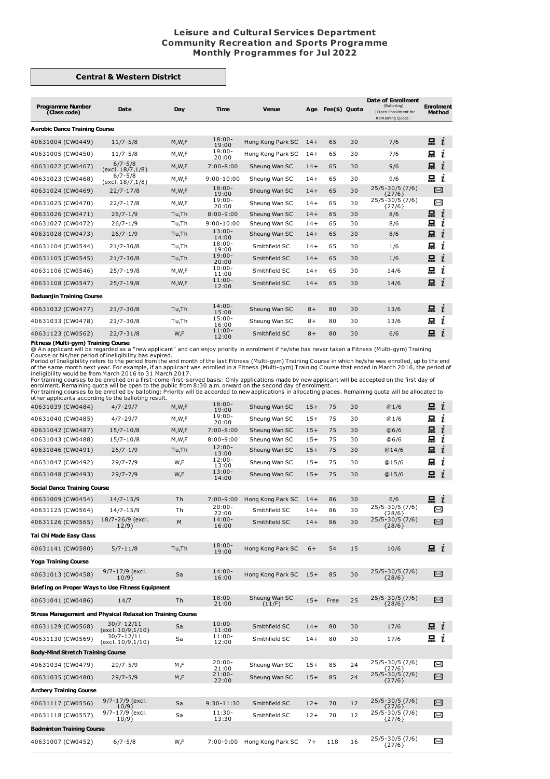## **Leisure and Cultural Services Department Community Recreation and Sports Programme Monthly Programmes for Jul 2022**

## **Central & Western District**

| <b>Programme Number</b><br>(Class code) | Date                             | Day     | Time               | <b>Venue</b>      | Age   | Fee(\$) Quota |    | Date of Enrollment<br>(Balloting)<br>Open Enrollment for<br>Remaining Quota | <b>Enrolment</b><br><b>Method</b> |
|-----------------------------------------|----------------------------------|---------|--------------------|-------------------|-------|---------------|----|-----------------------------------------------------------------------------|-----------------------------------|
| <b>Aerobic Dance Training Course</b>    |                                  |         |                    |                   |       |               |    |                                                                             |                                   |
| 40631004 (CW0449)                       | $11/7 - 5/8$                     | M,W,F   | $18:00 -$<br>19:00 | Hong Kong Park SC | $14+$ | 65            | 30 | 7/6                                                                         | $\equiv i$                        |
| 40631005 (CW0450)                       | $11/7 - 5/8$                     | M,W,F   | $19:00 -$<br>20:00 | Hong Kong Park SC | $14+$ | 65            | 30 | 7/6                                                                         | 믔<br>ı                            |
| 40631022 (CW0467)                       | $6/7 - 5/8$<br>(excl. 18/7, 1/8) | M,W,F   | $7:00 - 8:00$      | Sheung Wan SC     | $14+$ | 65            | 30 | 9/6                                                                         | 묘<br>$\mathbf{r}$                 |
| 40631023 (CW0468)                       | $6/7 - 5/8$<br>(excl. 18/7,1/8)  | M,W,F   | $9:00 - 10:00$     | Sheung Wan SC     | $14+$ | 65            | 30 | 9/6                                                                         | 묘<br>ι                            |
| 40631024 (CW0469)                       | $22/7 - 17/8$                    | M, W, F | $18:00 -$<br>19:00 | Sheung Wan SC     | $14+$ | 65            | 30 | $25/5 - 30/5$ (7/6)<br>${27/6}$                                             | $\asymp$                          |
| 40631025 (CW0470)                       | $22/7 - 17/8$                    | M,W,F   | $19:00 -$<br>20:00 | Sheung Wan SC     | $14+$ | 65            | 30 | 25/5-30/5 (7/6)<br>${27/6}$                                                 | X                                 |
| 40631026 (CW0471)                       | $26/7 - 1/9$                     | Tu,Th   | $8:00 - 9:00$      | Sheung Wan SC     | $14+$ | 65            | 30 | 8/6                                                                         | 묘<br>$\mathbf{r}$                 |
| 40631027 (CW0472)                       | $26/7 - 1/9$                     | Tu,Th   | $9:00 - 10:00$     | Sheung Wan SC     | $14+$ | 65            | 30 | 8/6                                                                         | 묘<br>ı                            |
| 40631028 (CW0473)                       | $26/7 - 1/9$                     | Tu,Th   | $13:00 -$<br>14:00 | Sheung Wan SC     | $14+$ | 65            | 30 | 8/6                                                                         | 묘<br>ı                            |
| 40631104 (CW0544)                       | $21/7 - 30/8$                    | Tu,Th   | $18:00 -$<br>19:00 | Smithfield SC     | $14+$ | 65            | 30 | 1/6                                                                         | 묘<br>ı                            |
| 40631105 (CW0545)                       | $21/7 - 30/8$                    | Tu,Th   | $19:00 -$<br>20:00 | Smithfield SC     | $14+$ | 65            | 30 | 1/6                                                                         | 묘<br>$\mathbf{I}$                 |
| 40631106 (CW0546)                       | $25/7 - 19/8$                    | M,W,F   | $10:00 -$<br>11:00 | Smithfield SC     | $14+$ | 65            | 30 | 14/6                                                                        | 묘<br>ı                            |
| 40631108 (CW0547)                       | $25/7 - 19/8$                    | M,W,F   | $11:00 -$<br>12:00 | Smithfield SC     | $14+$ | 65            | 30 | 14/6                                                                        | 묘<br>$\mathbf{r}$                 |
| <b>Baduanjin Training Course</b>        |                                  |         |                    |                   |       |               |    |                                                                             |                                   |
| 40631032 (CW0477)                       | $21/7 - 30/8$                    | Tu,Th   | $14:00 -$<br>15:00 | Sheung Wan SC     | $8+$  | 80            | 30 | 13/6                                                                        | 묘<br>$\mathbf{r}$                 |
| 40631033 (CW0478)                       | $21/7 - 30/8$                    | Tu,Th   | $15:00 -$<br>16:00 | Sheung Wan SC     | $8+$  | 80            | 30 | 13/6                                                                        | 묘<br>ı                            |
| 40631123 (CW0562)                       | $22/7 - 31/8$                    | W,F     | $11:00 -$<br>12:00 | Smithfield SC     | $8+$  | 80            | 30 | 6/6                                                                         | 묘<br>$\mathbf{r}$                 |

**Fitness (Multi-gym) Training Course**<br>
Course or his/her peraced as a "new applicant" and can enjoy priority in enrolment if he/she has never taken a Fitness (Multi-gym) Training<br>
Course or his/her period of ineligibility

|                                                           | other applicaties according to the ballothig result. |         |                    |                         |       |      |    |                                 |                    |
|-----------------------------------------------------------|------------------------------------------------------|---------|--------------------|-------------------------|-------|------|----|---------------------------------|--------------------|
| 40631039 (CW0484)                                         | $4/7 - 29/7$                                         | M, W, F | $18:00 -$<br>19:00 | Sheung Wan SC           | $15+$ | 75   | 30 | @1/6                            | $\mathbf{a}$ i     |
| 40631040 (CW0485)                                         | $4/7 - 29/7$                                         | M,W,F   | $19:00 -$<br>20:00 | Sheung Wan SC           | $15+$ | 75   | 30 | @1/6                            | 묘<br>i             |
| 40631042 (CW0487)                                         | $15/7 - 10/8$                                        | M, W, F | $7:00 - 8:00$      | Sheung Wan SC           | $15+$ | 75   | 30 | @6/6                            | шi                 |
| 40631043 (CW0488)                                         | $15/7 - 10/8$                                        | M,W,F   | $8:00 - 9:00$      | Sheung Wan SC           | $15+$ | 75   | 30 | @6/6                            | 됴<br>$\mathbf{I}$  |
| 40631046 (CW0491)                                         | $26/7 - 1/9$                                         | Tu,Th   | $12:00 -$<br>13:00 | Sheung Wan SC           | $15+$ | 75   | 30 | @14/6                           | 묘<br>$\mathbf{I}$  |
| 40631047 (CW0492)                                         | 29/7-7/9                                             | W,F     | $12:00 -$<br>13:00 | Sheung Wan SC           | $15+$ | 75   | 30 | @15/6                           | 묘<br>ī             |
| 40631048 (CW0493)                                         | $29/7 - 7/9$                                         | W,F     | $13:00 -$<br>14:00 | Sheung Wan SC           | $15+$ | 75   | 30 | @15/6                           | 묘<br>i             |
| <b>Social Dance Training Course</b>                       |                                                      |         |                    |                         |       |      |    |                                 |                    |
| 40631009 (CW0454)                                         | $14/7 - 15/9$                                        | Th      | $7:00 - 9:00$      | Hong Kong Park SC       | $14+$ | 86   | 30 | 6/6                             | 묘 $i$              |
| 40631125 (CW0564)                                         | 14/7-15/9                                            | Th      | $20:00 -$<br>22:00 | Smithfield SC           | $14+$ | 86   | 30 | 25/5-30/5 (7/6)<br>${28/6}$     | X                  |
| 40631126 (CW0565)                                         | 18/7-26/9 (excl.<br>12/9)                            | M       | $14:00 -$<br>16:00 | Smithfield SC           | $14+$ | 86   | 30 | 25/5-30/5 (7/6)<br>${28/6}$     | ⊠                  |
| Tai Chi Made Easy Class                                   |                                                      |         |                    |                         |       |      |    |                                 |                    |
| 40631141 (CW0580)                                         | $5/7 - 11/8$                                         | Tu,Th   | $18:00 -$<br>19:00 | Hong Kong Park SC       | $6+$  | 54   | 15 | 10/6                            | $\blacksquare$ $i$ |
| <b>Yoga Training Course</b>                               |                                                      |         |                    |                         |       |      |    |                                 |                    |
| 40631013 (CW0458)                                         | 9/7-17/9 (excl.<br>10/9)                             | Sa      | $14:00 -$<br>16:00 | Hong Kong Park SC       | $15+$ | 85   | 30 | 25/5-30/5 (7/6)<br>${28/6}$     | X                  |
| Briefing on Proper Ways to Use Fitness Equipment          |                                                      |         |                    |                         |       |      |    |                                 |                    |
| 40631041 (CW0486)                                         | 14/7                                                 | Th      | $18:00 -$<br>21:00 | Sheung Wan SC<br>(11/F) | $15+$ | Free | 25 | $25/5 - 30/5$ (7/6)<br>${28/6}$ | X                  |
| Stress Management and Physical Relaxation Training Course |                                                      |         |                    |                         |       |      |    |                                 |                    |
| 40631129 (CW0568)                                         | 30/7-12/11<br>(excl. 10/9,1/10)                      | Sa      | $10:00 -$<br>11:00 | Smithfield SC           | $14+$ | 80   | 30 | 17/6                            | $\mathbf{a}$ i     |
| 40631130 (CW0569)                                         | 30/7-12/11<br>(excl. 10/9,1/10)                      | Sa      | $11:00 -$<br>12:00 | Smithfield SC           | $14+$ | 80   | 30 | 17/6                            | 묘 i                |
| <b>Body-Mind Stretch Training Course</b>                  |                                                      |         |                    |                         |       |      |    |                                 |                    |
| 40631034 (CW0479)                                         | $29/7 - 5/9$                                         | M,F     | $20:00 -$<br>21:00 | Sheung Wan SC           | $15+$ | 85   | 24 | 25/5-30/5 (7/6)<br>${27/6}$     | $\Join$            |
| 40631035 (CW0480)                                         | $29/7 - 5/9$                                         | M,F     | $21:00 -$<br>22:00 | Sheung Wan SC           | $15+$ | 85   | 24 | $25/5 - 30/5$ (7/6)<br>${27/6}$ | X                  |
| <b>Archery Training Course</b>                            |                                                      |         |                    |                         |       |      |    |                                 |                    |
| 40631117 (CW0556)                                         | 9/7-17/9 (excl.<br>10/9)                             | Sa      | 9:30-11:30         | Smithfield SC           | $12+$ | 70   | 12 | $25/5 - 30/5$ (7/6)<br>${27/6}$ | ⊠                  |
| 40631118 (CW0557)                                         | 9/7-17/9 (excl.<br>10/9)                             | Sa      | $11:30-$<br>13:30  | Smithfield SC           | $12+$ | 70   | 12 | 25/5-30/5 (7/6)<br>${27/6}$     | ⊠                  |
| <b>Badminton Training Course</b>                          |                                                      |         |                    |                         |       |      |    |                                 |                    |
| 40631007 (CW0452)                                         | $6/7 - 5/8$                                          | W,F     | $7:00 - 9:00$      | Hong Kong Park SC       | $7+$  | 118  | 16 | 25/5-30/5 (7/6)<br>${27/6}$     | ⊠                  |